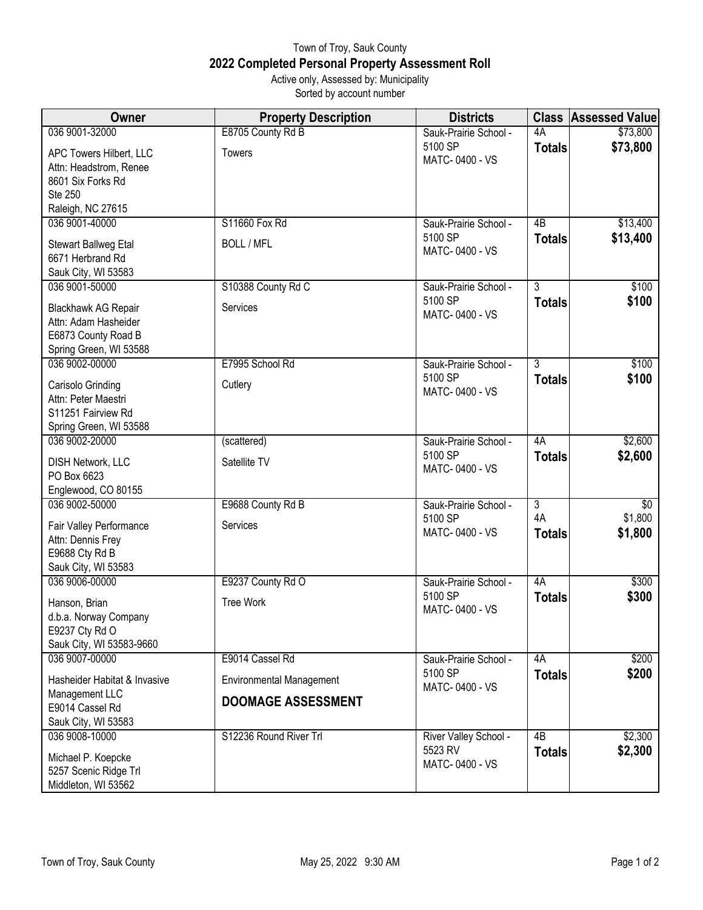## Town of Troy, Sauk County **2022 Completed Personal Property Assessment Roll** Active only, Assessed by: Municipality

Sorted by account number

| Owner                                       | <b>Property Description</b>     | <b>Districts</b>                 |                 | <b>Class Assessed Value</b> |
|---------------------------------------------|---------------------------------|----------------------------------|-----------------|-----------------------------|
| 036 9001-32000                              | E8705 County Rd B               | Sauk-Prairie School -            | 4A              | \$73,800                    |
| APC Towers Hilbert, LLC                     | Towers                          | 5100 SP<br>MATC-0400 - VS        | Totals          | \$73,800                    |
| Attn: Headstrom, Renee<br>8601 Six Forks Rd |                                 |                                  |                 |                             |
| Ste 250                                     |                                 |                                  |                 |                             |
| Raleigh, NC 27615                           |                                 |                                  |                 |                             |
| 036 9001-40000                              | S11660 Fox Rd                   | Sauk-Prairie School -            | $\overline{AB}$ | \$13,400                    |
| Stewart Ballweg Etal                        | <b>BOLL / MFL</b>               | 5100 SP                          | <b>Totals</b>   | \$13,400                    |
| 6671 Herbrand Rd                            |                                 | MATC-0400 - VS                   |                 |                             |
| Sauk City, WI 53583                         |                                 |                                  |                 |                             |
| 036 9001-50000                              | S10388 County Rd C              | Sauk-Prairie School -            | $\overline{3}$  | \$100                       |
| Blackhawk AG Repair                         | Services                        | 5100 SP                          | <b>Totals</b>   | \$100                       |
| Attn: Adam Hasheider                        |                                 | MATC-0400 - VS                   |                 |                             |
| E6873 County Road B                         |                                 |                                  |                 |                             |
| Spring Green, WI 53588                      |                                 |                                  |                 |                             |
| 036 9002-00000                              | E7995 School Rd                 | Sauk-Prairie School -<br>5100 SP | $\overline{3}$  | \$100                       |
| Carisolo Grinding                           | Cutlery                         | MATC-0400 - VS                   | <b>Totals</b>   | \$100                       |
| Attn: Peter Maestri                         |                                 |                                  |                 |                             |
| S11251 Fairview Rd                          |                                 |                                  |                 |                             |
| Spring Green, WI 53588<br>036 9002-20000    | (scattered)                     | Sauk-Prairie School -            | 4A              | \$2,600                     |
|                                             |                                 | 5100 SP                          | <b>Totals</b>   | \$2,600                     |
| <b>DISH Network, LLC</b>                    | Satellite TV                    | MATC-0400 - VS                   |                 |                             |
| PO Box 6623                                 |                                 |                                  |                 |                             |
| Englewood, CO 80155<br>036 9002-50000       | E9688 County Rd B               | Sauk-Prairie School -            | $\overline{3}$  | \$0                         |
|                                             |                                 | 5100 SP                          | 4A              | \$1,800                     |
| Fair Valley Performance                     | Services                        | MATC-0400 - VS                   | <b>Totals</b>   | \$1,800                     |
| Attn: Dennis Frey<br>E9688 Cty Rd B         |                                 |                                  |                 |                             |
| Sauk City, WI 53583                         |                                 |                                  |                 |                             |
| 036 9006-00000                              | E9237 County Rd O               | Sauk-Prairie School -            | 4A              | \$300                       |
| Hanson, Brian                               | <b>Tree Work</b>                | 5100 SP                          | <b>Totals</b>   | \$300                       |
| d.b.a. Norway Company                       |                                 | MATC-0400 - VS                   |                 |                             |
| E9237 Cty Rd O                              |                                 |                                  |                 |                             |
| Sauk City, WI 53583-9660                    |                                 |                                  |                 |                             |
| 036 9007-00000                              | E9014 Cassel Rd                 | Sauk-Prairie School -            | 4A              | \$200                       |
| Hasheider Habitat & Invasive                | <b>Environmental Management</b> | 5100 SP                          | <b>Totals</b>   | \$200                       |
| Management LLC                              | <b>DOOMAGE ASSESSMENT</b>       | MATC-0400 - VS                   |                 |                             |
| E9014 Cassel Rd                             |                                 |                                  |                 |                             |
| Sauk City, WI 53583                         |                                 |                                  |                 |                             |
| 036 9008-10000                              | S12236 Round River Trl          | River Valley School -<br>5523 RV | 4B              | \$2,300                     |
| Michael P. Koepcke                          |                                 | MATC-0400 - VS                   | <b>Totals</b>   | \$2,300                     |
| 5257 Scenic Ridge Trl                       |                                 |                                  |                 |                             |
| Middleton, WI 53562                         |                                 |                                  |                 |                             |